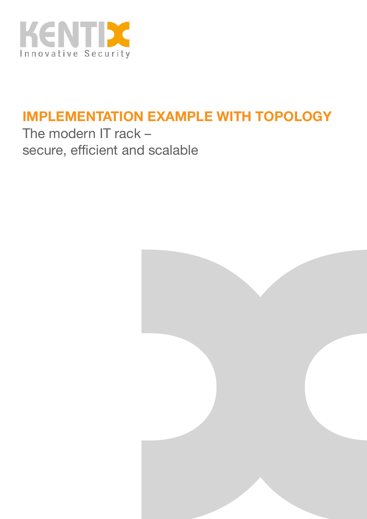

## **IMPLEMENTATION EXAMPLE WITH TOPOLOGY**

The modern IT rack – secure, efficient and scalable

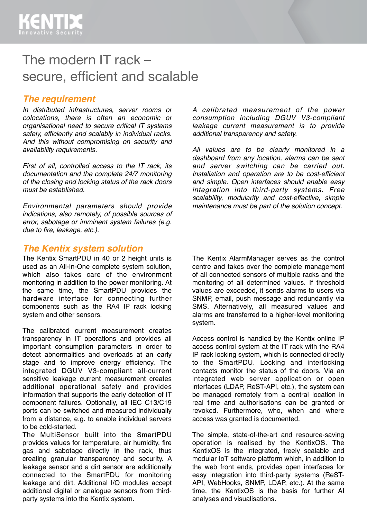## The modern IT rack – secure, efficient and scalable

#### *The requirement*

*In distributed infrastructures, server rooms or colocations, there is often an economic or organisational need to secure critical IT systems safely, efficiently and scalably in individual racks. And this without compromising on security and availability requirements.*

*First of all, controlled access to the IT rack, its documentation and the complete 24/7 monitoring of the closing and locking status of the rack doors must be established.*

*Environmental parameters should provide indications, also remotely, of possible sources of error, sabotage or imminent system failures (e.g. due to fire, leakage, etc.).*

#### *The Kentix system solution*

The Kentix SmartPDU in 40 or 2 height units is used as an All-In-One complete system solution, which also takes care of the environment monitoring in addition to the power monitoring. At the same time, the SmartPDU provides the hardware interface for connecting further components such as the RA4 IP rack locking system and other sensors.

The calibrated current measurement creates transparency in IT operations and provides all important consumption parameters in order to detect abnormalities and overloads at an early stage and to improve energy efficiency. The integrated DGUV V3-compliant all-current sensitive leakage current measurement creates additional operational safety and provides information that supports the early detection of IT component failures. Optionally, all IEC C13/C19 ports can be switched and measured individually from a distance, e.g. to enable individual servers to be cold-started.

The MultiSensor built into the SmartPDU provides values for temperature, air humidity, fire gas and sabotage directly in the rack, thus creating granular transparency and security. A leakage sensor and a dirt sensor are additionally connected to the SmartPDU for monitoring leakage and dirt. Additional I/O modules accept additional digital or analogue sensors from thirdparty systems into the Kentix system.

*A calibrated measurement of the power consumption including DGUV V3-compliant leakage current measurement is to provide additional transparency and safety.*

*All values are to be clearly monitored in a dashboard from any location, alarms can be sent and server switching can be carried out. Installation and operation are to be cost-efficient and simple. Open interfaces should enable easy integration into third-party systems. Free scalability, modularity and cost-effective, simple maintenance must be part of the solution concept.*

The Kentix AlarmManager serves as the control centre and takes over the complete management of all connected sensors of multiple racks and the monitoring of all determined values. If threshold values are exceeded, it sends alarms to users via SNMP, email, push message and redundantly via SMS. Alternatively, all measured values and alarms are transferred to a higher-level monitoring system.

Access control is handled by the Kentix online IP access control system at the IT rack with the RA4 IP rack locking system, which is connected directly to the SmartPDU. Locking and interlocking contacts monitor the status of the doors. Via an integrated web server application or open interfaces (LDAP, ReST-API, etc.), the system can be managed remotely from a central location in real time and authorisations can be granted or revoked. Furthermore, who, when and where access was granted is documented.

The simple, state-of-the-art and resource-saving operation is realised by the KentixOS. The KentixOS is the integrated, freely scalable and modular IoT software platform which, in addition to the web front ends, provides open interfaces for easy integration into third-party systems (ReST-API, WebHooks, SNMP, LDAP, etc.). At the same time, the KentixOS is the basis for further AI analyses and visualisations.